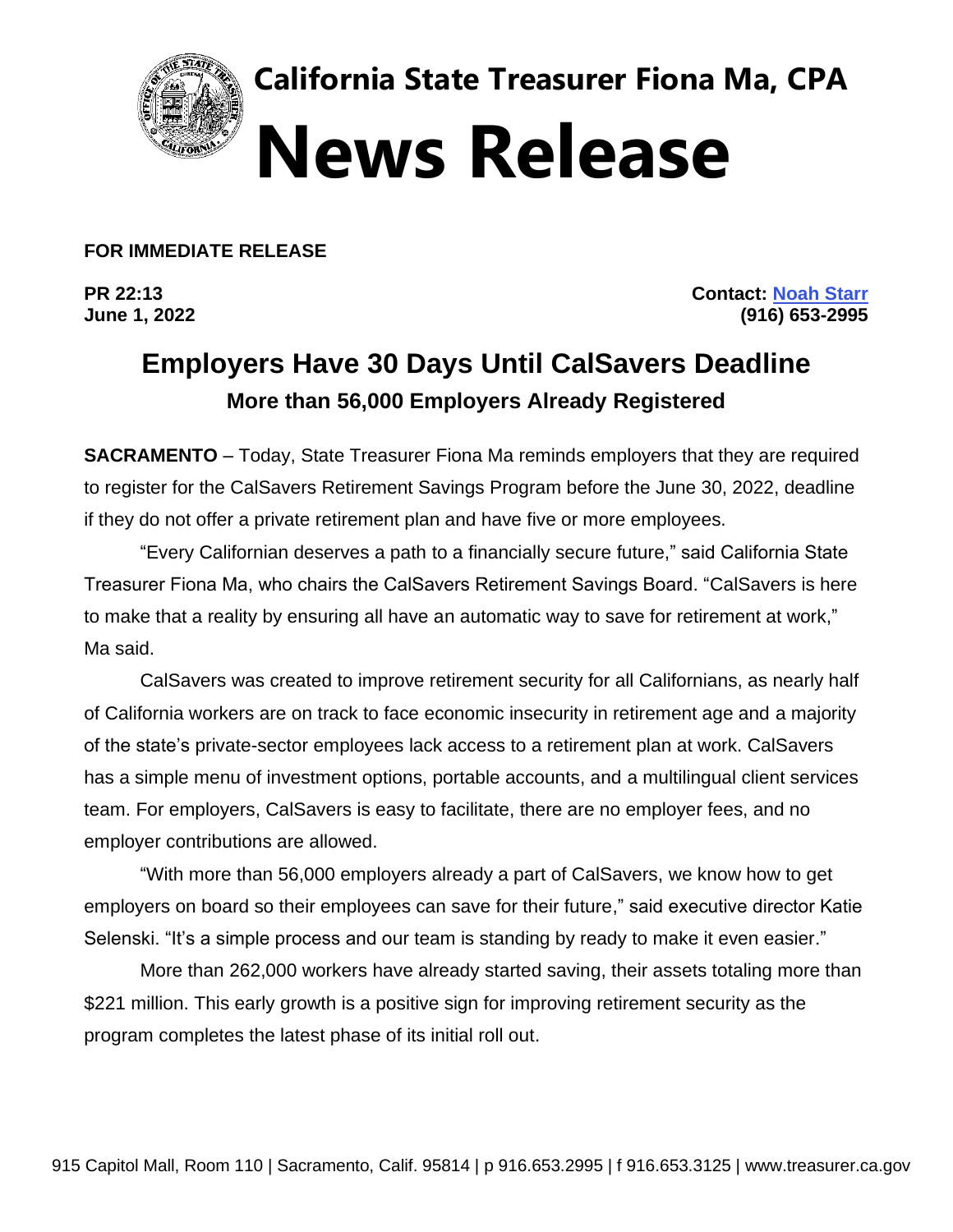

**California State Treasurer Fiona Ma, CPA News Release**

**FOR IMMEDIATE RELEASE**

**PR 22:13 Contact: [Noah Starr](mailto:noah.starr@treasurer.ca.gov) June 1, 2022 (916) 653-2995** 

## **Employers Have 30 Days Until CalSavers Deadline More than 56,000 Employers Already Registered**

**SACRAMENTO** – Today, State Treasurer Fiona Ma reminds employers that they are required to register for the CalSavers Retirement Savings Program before the June 30, 2022, deadline if they do not offer a private retirement plan and have five or more employees.

"Every Californian deserves a path to a financially secure future," said California State Treasurer Fiona Ma, who chairs the CalSavers Retirement Savings Board. "CalSavers is here to make that a reality by ensuring all have an automatic way to save for retirement at work," Ma said.

CalSavers was created to improve retirement security for all Californians, as nearly half of California workers are on track to face economic insecurity in retirement age and a majority of the state's private-sector employees lack access to a retirement plan at work. CalSavers has a simple menu of investment options, portable accounts, and a multilingual client services team. For employers, CalSavers is easy to facilitate, there are no employer fees, and no employer contributions are allowed.

"With more than 56,000 employers already a part of CalSavers, we know how to get employers on board so their employees can save for their future," said executive director Katie Selenski. "It's a simple process and our team is standing by ready to make it even easier."

More than 262,000 workers have already started saving, their assets totaling more than \$221 million. This early growth is a positive sign for improving retirement security as the program completes the latest phase of its initial roll out.